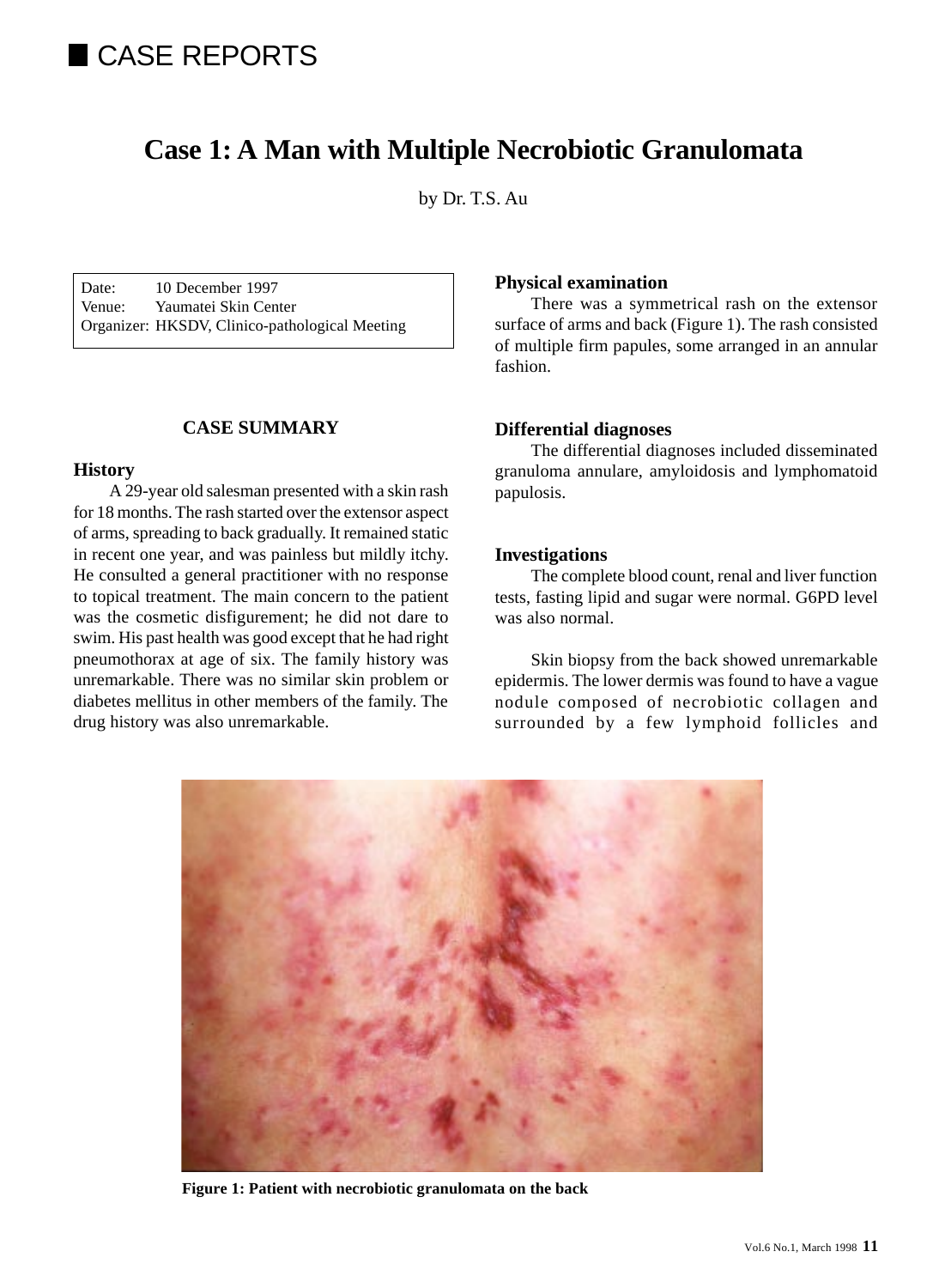# CASE REPORTS

# **Case 1: A Man with Multiple Necrobiotic Granulomata**

by Dr. T.S. Au

Date: 10 December 1997 Venue: Yaumatei Skin Center Organizer: HKSDV, Clinico-pathological Meeting

# **CASE SUMMARY**

#### **History**

A 29-year old salesman presented with a skin rash for 18 months. The rash started over the extensor aspect of arms, spreading to back gradually. It remained static in recent one year, and was painless but mildly itchy. He consulted a general practitioner with no response to topical treatment. The main concern to the patient was the cosmetic disfigurement; he did not dare to swim. His past health was good except that he had right pneumothorax at age of six. The family history was unremarkable. There was no similar skin problem or diabetes mellitus in other members of the family. The drug history was also unremarkable.

# **Physical examination**

There was a symmetrical rash on the extensor surface of arms and back (Figure 1). The rash consisted of multiple firm papules, some arranged in an annular fashion.

# **Differential diagnoses**

The differential diagnoses included disseminated granuloma annulare, amyloidosis and lymphomatoid papulosis.

#### **Investigations**

The complete blood count, renal and liver function tests, fasting lipid and sugar were normal. G6PD level was also normal.

Skin biopsy from the back showed unremarkable epidermis. The lower dermis was found to have a vague nodule composed of necrobiotic collagen and surrounded by a few lymphoid follicles and



**Figure 1: Patient with necrobiotic granulomata on the back**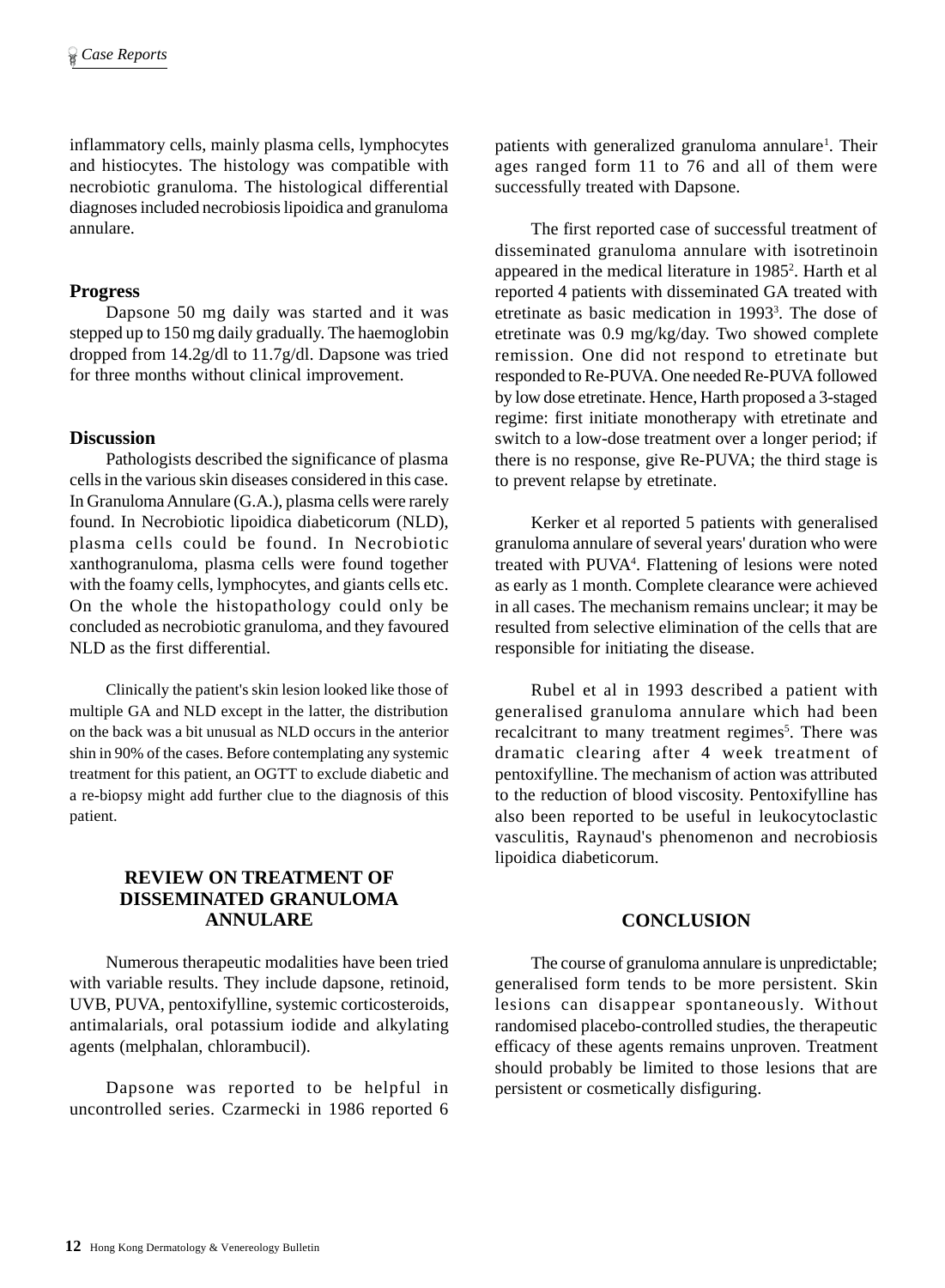inflammatory cells, mainly plasma cells, lymphocytes and histiocytes. The histology was compatible with necrobiotic granuloma. The histological differential diagnoses included necrobiosis lipoidica and granuloma annulare.

#### **Progress**

Dapsone 50 mg daily was started and it was stepped up to 150 mg daily gradually. The haemoglobin dropped from 14.2g/dl to 11.7g/dl. Dapsone was tried for three months without clinical improvement.

# **Discussion**

Pathologists described the significance of plasma cells in the various skin diseases considered in this case. In Granuloma Annulare (G.A.), plasma cells were rarely found. In Necrobiotic lipoidica diabeticorum (NLD), plasma cells could be found. In Necrobiotic xanthogranuloma, plasma cells were found together with the foamy cells, lymphocytes, and giants cells etc. On the whole the histopathology could only be concluded as necrobiotic granuloma, and they favoured NLD as the first differential.

Clinically the patient's skin lesion looked like those of multiple GA and NLD except in the latter, the distribution on the back was a bit unusual as NLD occurs in the anterior shin in 90% of the cases. Before contemplating any systemic treatment for this patient, an OGTT to exclude diabetic and a re-biopsy might add further clue to the diagnosis of this patient.

# **REVIEW ON TREATMENT OF DISSEMINATED GRANULOMA ANNULARE**

Numerous therapeutic modalities have been tried with variable results. They include dapsone, retinoid, UVB, PUVA, pentoxifylline, systemic corticosteroids, antimalarials, oral potassium iodide and alkylating agents (melphalan, chlorambucil).

Dapsone was reported to be helpful in uncontrolled series. Czarmecki in 1986 reported 6

patients with generalized granuloma annulare<sup>1</sup>. Their ages ranged form 11 to 76 and all of them were successfully treated with Dapsone.

The first reported case of successful treatment of disseminated granuloma annulare with isotretinoin appeared in the medical literature in 1985<sup>2</sup>. Harth et al reported 4 patients with disseminated GA treated with etretinate as basic medication in 1993<sup>3</sup>. The dose of etretinate was 0.9 mg/kg/day. Two showed complete remission. One did not respond to etretinate but responded to Re-PUVA. One needed Re-PUVA followed by low dose etretinate. Hence, Harth proposed a 3-staged regime: first initiate monotherapy with etretinate and switch to a low-dose treatment over a longer period; if there is no response, give Re-PUVA; the third stage is to prevent relapse by etretinate.

Kerker et al reported 5 patients with generalised granuloma annulare of several years' duration who were treated with PUVA<sup>4</sup>. Flattening of lesions were noted as early as 1 month. Complete clearance were achieved in all cases. The mechanism remains unclear; it may be resulted from selective elimination of the cells that are responsible for initiating the disease.

Rubel et al in 1993 described a patient with generalised granuloma annulare which had been recalcitrant to many treatment regimes<sup>5</sup>. There was dramatic clearing after 4 week treatment of pentoxifylline. The mechanism of action was attributed to the reduction of blood viscosity. Pentoxifylline has also been reported to be useful in leukocytoclastic vasculitis, Raynaud's phenomenon and necrobiosis lipoidica diabeticorum.

#### **CONCLUSION**

The course of granuloma annulare is unpredictable; generalised form tends to be more persistent. Skin lesions can disappear spontaneously. Without randomised placebo-controlled studies, the therapeutic efficacy of these agents remains unproven. Treatment should probably be limited to those lesions that are persistent or cosmetically disfiguring.